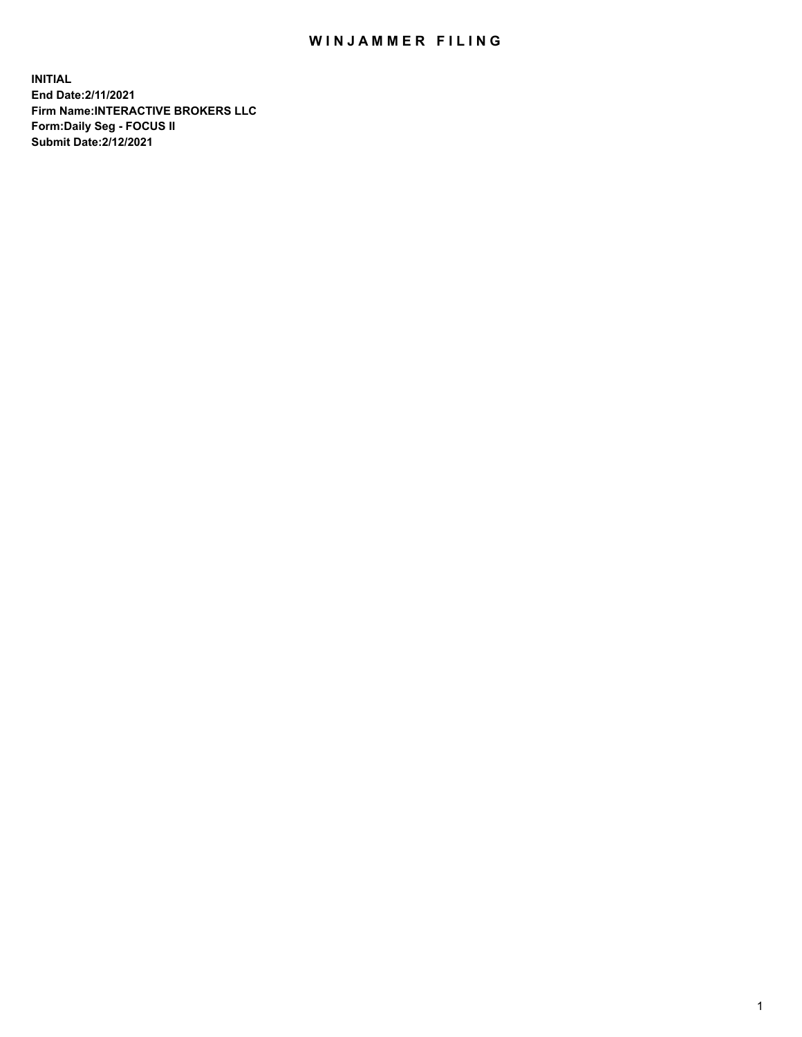## WIN JAMMER FILING

**INITIAL End Date:2/11/2021 Firm Name:INTERACTIVE BROKERS LLC Form:Daily Seg - FOCUS II Submit Date:2/12/2021**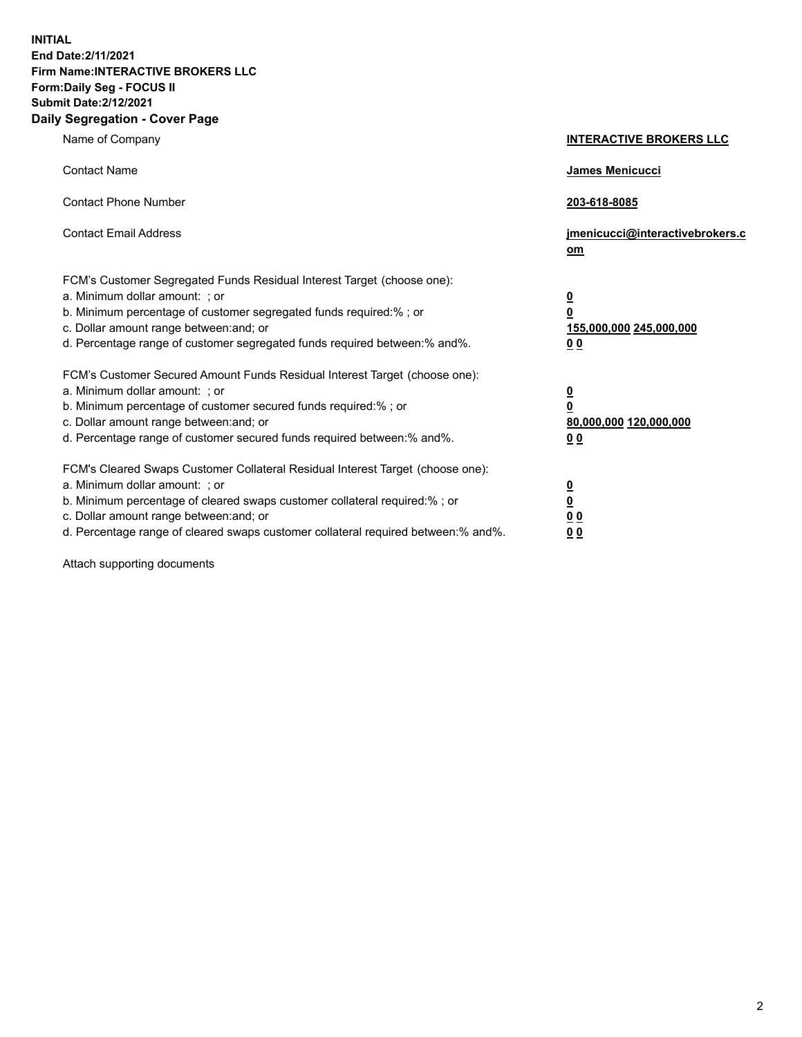**INITIAL End Date:2/11/2021 Firm Name:INTERACTIVE BROKERS LLC Form:Daily Seg - FOCUS II Submit Date:2/12/2021 Daily Segregation - Cover Page**

| Name of Company                                                                                                                                                                                                                                                                                                                | <b>INTERACTIVE BROKERS LLC</b>                                                                  |
|--------------------------------------------------------------------------------------------------------------------------------------------------------------------------------------------------------------------------------------------------------------------------------------------------------------------------------|-------------------------------------------------------------------------------------------------|
| <b>Contact Name</b>                                                                                                                                                                                                                                                                                                            | James Menicucci                                                                                 |
| <b>Contact Phone Number</b>                                                                                                                                                                                                                                                                                                    | 203-618-8085                                                                                    |
| <b>Contact Email Address</b>                                                                                                                                                                                                                                                                                                   | jmenicucci@interactivebrokers.c<br>$om$                                                         |
| FCM's Customer Segregated Funds Residual Interest Target (choose one):<br>a. Minimum dollar amount: ; or<br>b. Minimum percentage of customer segregated funds required:% ; or<br>c. Dollar amount range between: and; or<br>d. Percentage range of customer segregated funds required between:% and%.                         | $\overline{\mathbf{0}}$<br>$\overline{\mathbf{0}}$<br>155,000,000 245,000,000<br>0 <sub>0</sub> |
| FCM's Customer Secured Amount Funds Residual Interest Target (choose one):<br>a. Minimum dollar amount: ; or<br>b. Minimum percentage of customer secured funds required:%; or<br>c. Dollar amount range between: and; or<br>d. Percentage range of customer secured funds required between:% and%.                            | $\overline{\mathbf{0}}$<br>$\overline{\mathbf{0}}$<br>80,000,000 120,000,000<br>0 <sub>0</sub>  |
| FCM's Cleared Swaps Customer Collateral Residual Interest Target (choose one):<br>a. Minimum dollar amount: ; or<br>b. Minimum percentage of cleared swaps customer collateral required:% ; or<br>c. Dollar amount range between: and; or<br>d. Percentage range of cleared swaps customer collateral required between:% and%. | $\overline{\mathbf{0}}$<br><u>0</u><br>0 <sub>0</sub><br>0 <sub>0</sub>                         |

Attach supporting documents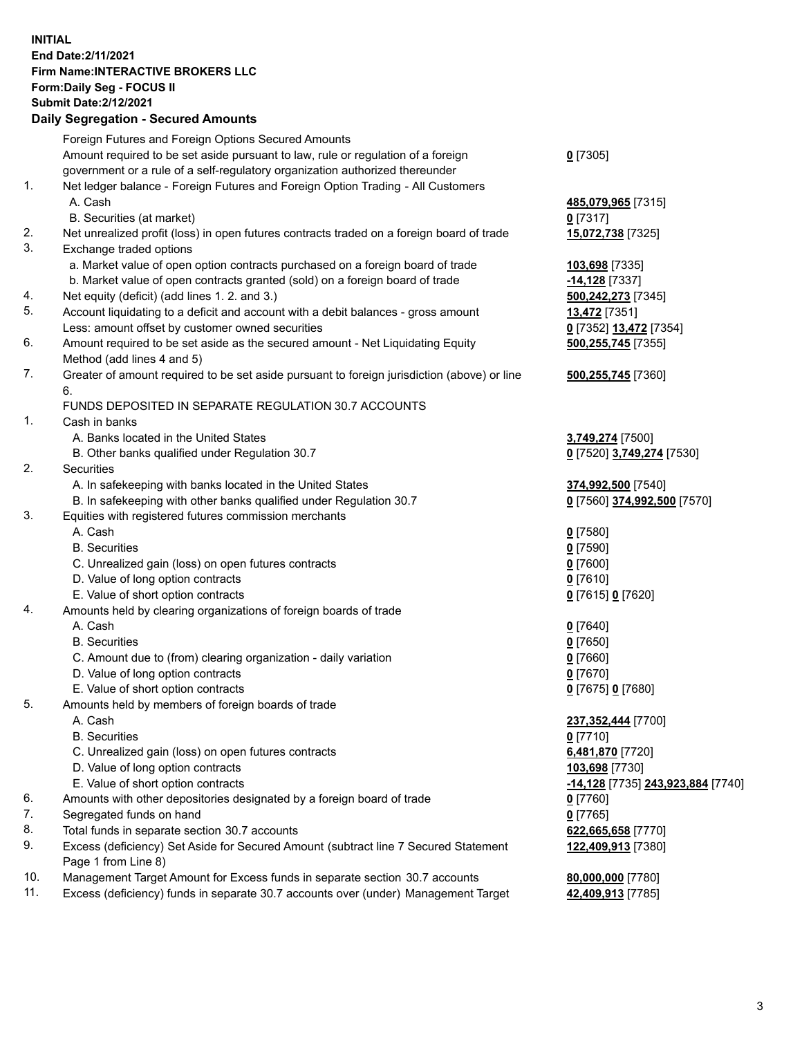## **INITIAL End Date:2/11/2021 Firm Name:INTERACTIVE BROKERS LLC Form:Daily Seg - FOCUS II Submit Date:2/12/2021**

|          | <b>Daily Segregation - Secured Amounts</b>                                                                                           |                                               |
|----------|--------------------------------------------------------------------------------------------------------------------------------------|-----------------------------------------------|
|          | Foreign Futures and Foreign Options Secured Amounts                                                                                  |                                               |
|          | Amount required to be set aside pursuant to law, rule or regulation of a foreign                                                     | $0$ [7305]                                    |
|          | government or a rule of a self-regulatory organization authorized thereunder                                                         |                                               |
| 1.       | Net ledger balance - Foreign Futures and Foreign Option Trading - All Customers                                                      |                                               |
|          | A. Cash                                                                                                                              | 485,079,965 [7315]                            |
|          | B. Securities (at market)                                                                                                            | $0$ [7317]                                    |
| 2.       | Net unrealized profit (loss) in open futures contracts traded on a foreign board of trade                                            | 15,072,738 [7325]                             |
| 3.       | Exchange traded options                                                                                                              |                                               |
|          | a. Market value of open option contracts purchased on a foreign board of trade                                                       | 103,698 [7335]                                |
|          | b. Market value of open contracts granted (sold) on a foreign board of trade                                                         | $-14,128$ [7337]                              |
| 4.       | Net equity (deficit) (add lines 1. 2. and 3.)                                                                                        | 500,242,273 [7345]                            |
| 5.       | Account liquidating to a deficit and account with a debit balances - gross amount                                                    | 13,472 [7351]                                 |
|          | Less: amount offset by customer owned securities                                                                                     | 0 [7352] 13,472 [7354]                        |
| 6.       | Amount required to be set aside as the secured amount - Net Liquidating Equity                                                       | 500,255,745 [7355]                            |
|          | Method (add lines 4 and 5)                                                                                                           |                                               |
| 7.       | Greater of amount required to be set aside pursuant to foreign jurisdiction (above) or line                                          | 500,255,745 [7360]                            |
|          | 6.                                                                                                                                   |                                               |
| 1.       | FUNDS DEPOSITED IN SEPARATE REGULATION 30.7 ACCOUNTS                                                                                 |                                               |
|          | Cash in banks<br>A. Banks located in the United States                                                                               |                                               |
|          | B. Other banks qualified under Regulation 30.7                                                                                       | 3,749,274 [7500]<br>0 [7520] 3,749,274 [7530] |
| 2.       | Securities                                                                                                                           |                                               |
|          | A. In safekeeping with banks located in the United States                                                                            | 374,992,500 [7540]                            |
|          | B. In safekeeping with other banks qualified under Regulation 30.7                                                                   | 0 [7560] 374,992,500 [7570]                   |
| 3.       | Equities with registered futures commission merchants                                                                                |                                               |
|          | A. Cash                                                                                                                              | $0$ [7580]                                    |
|          | <b>B.</b> Securities                                                                                                                 | $0$ [7590]                                    |
|          | C. Unrealized gain (loss) on open futures contracts                                                                                  | $0$ [7600]                                    |
|          | D. Value of long option contracts                                                                                                    | $0$ [7610]                                    |
|          | E. Value of short option contracts                                                                                                   | 0 [7615] 0 [7620]                             |
| 4.       | Amounts held by clearing organizations of foreign boards of trade                                                                    |                                               |
|          | A. Cash                                                                                                                              | $0$ [7640]                                    |
|          | <b>B.</b> Securities                                                                                                                 | $0$ [7650]                                    |
|          | C. Amount due to (from) clearing organization - daily variation                                                                      | $0$ [7660]                                    |
|          | D. Value of long option contracts                                                                                                    | 0 [7670]                                      |
|          | E. Value of short option contracts                                                                                                   | 0 [7675] 0 [7680]                             |
| 5.       | Amounts held by members of foreign boards of trade                                                                                   |                                               |
|          | A. Cash                                                                                                                              | 237,352,444 [7700]                            |
|          | <b>B.</b> Securities                                                                                                                 | $0$ [7710]                                    |
|          | C. Unrealized gain (loss) on open futures contracts                                                                                  | 6,481,870 [7720]                              |
|          | D. Value of long option contracts                                                                                                    | 103,698 [7730]                                |
|          | E. Value of short option contracts                                                                                                   | -14,128 [7735] 243,923,884 [7740]             |
| 6.       | Amounts with other depositories designated by a foreign board of trade                                                               | $0$ [7760]                                    |
| 7.       | Segregated funds on hand                                                                                                             | $0$ [7765]                                    |
| 8.<br>9. | Total funds in separate section 30.7 accounts<br>Excess (deficiency) Set Aside for Secured Amount (subtract line 7 Secured Statement | 622,665,658 [7770]                            |
|          | Page 1 from Line 8)                                                                                                                  | 122,409,913 [7380]                            |
| 10.      | Management Target Amount for Excess funds in separate section 30.7 accounts                                                          | 80,000,000 [7780]                             |
| 11.      | Excess (deficiency) funds in separate 30.7 accounts over (under) Management Target                                                   | 42,409,913 [7785]                             |
|          |                                                                                                                                      |                                               |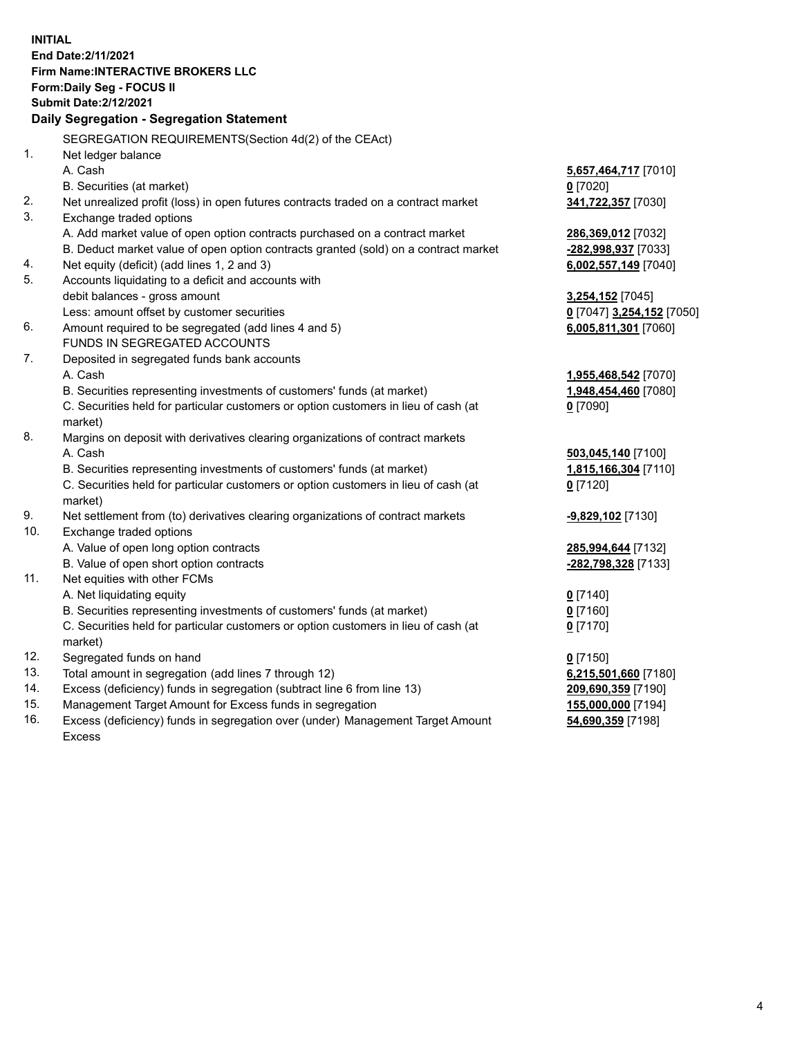**INITIAL End Date:2/11/2021 Firm Name:INTERACTIVE BROKERS LLC Form:Daily Seg - FOCUS II Submit Date:2/12/2021 Daily Segregation - Segregation Statement** SEGREGATION REQUIREMENTS(Section 4d(2) of the CEAct) 1. Net ledger balance A. Cash **5,657,464,717** [7010] B. Securities (at market) **0** [7020] 2. Net unrealized profit (loss) in open futures contracts traded on a contract market **341,722,357** [7030] 3. Exchange traded options A. Add market value of open option contracts purchased on a contract market **286,369,012** [7032] B. Deduct market value of open option contracts granted (sold) on a contract market **-282,998,937** [7033] 4. Net equity (deficit) (add lines 1, 2 and 3) **6,002,557,149** [7040] 5. Accounts liquidating to a deficit and accounts with debit balances - gross amount **3,254,152** [7045] Less: amount offset by customer securities **0** [7047] **3,254,152** [7050] 6. Amount required to be segregated (add lines 4 and 5) **6,005,811,301** [7060] FUNDS IN SEGREGATED ACCOUNTS 7. Deposited in segregated funds bank accounts A. Cash **1,955,468,542** [7070] B. Securities representing investments of customers' funds (at market) **1,948,454,460** [7080] C. Securities held for particular customers or option customers in lieu of cash (at market) **0** [7090] 8. Margins on deposit with derivatives clearing organizations of contract markets A. Cash **503,045,140** [7100] B. Securities representing investments of customers' funds (at market) **1,815,166,304** [7110] C. Securities held for particular customers or option customers in lieu of cash (at market) **0** [7120] 9. Net settlement from (to) derivatives clearing organizations of contract markets **-9,829,102** [7130] 10. Exchange traded options A. Value of open long option contracts **285,994,644** [7132] B. Value of open short option contracts **-282,798,328** [7133] 11. Net equities with other FCMs A. Net liquidating equity **0** [7140] B. Securities representing investments of customers' funds (at market) **0** [7160] C. Securities held for particular customers or option customers in lieu of cash (at market) **0** [7170] 12. Segregated funds on hand **0** [7150] 13. Total amount in segregation (add lines 7 through 12) **6,215,501,660** [7180] 14. Excess (deficiency) funds in segregation (subtract line 6 from line 13) **209,690,359** [7190] 15. Management Target Amount for Excess funds in segregation **155,000,000** [7194]

16. Excess (deficiency) funds in segregation over (under) Management Target Amount Excess

**54,690,359** [7198]